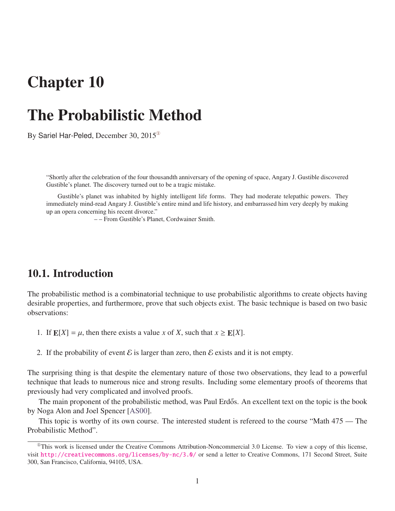# Chapter 10

# The Probabilistic Method

By Sariel Har-Peled, December 30, 2015[①](#page-0-0)

"Shortly after the celebration of the four thousandth anniversary of the opening of space, Angary J. Gustible discovered Gustible's planet. The discovery turned out to be a tragic mistake.

Gustible's planet was inhabited by highly intelligent life forms. They had moderate telepathic powers. They immediately mind-read Angary J. Gustible's entire mind and life history, and embarrassed him very deeply by making up an opera concerning his recent divorce."

– – From Gustible's Planet, Cordwainer Smith.

### 10.1. Introduction

The probabilistic method is a combinatorial technique to use probabilistic algorithms to create objects having desirable properties, and furthermore, prove that such objects exist. The basic technique is based on two basic observations:

- 1. If  $E[X] = \mu$ , then there exists a value *x* of *X*, such that  $x \ge E[X]$ .
- 2. If the probability of event  $\mathcal E$  is larger than zero, then  $\mathcal E$  exists and it is not empty.

The surprising thing is that despite the elementary nature of those two observations, they lead to a powerful technique that leads to numerous nice and strong results. Including some elementary proofs of theorems that previously had very complicated and involved proofs.

The main proponent of the probabilistic method, was Paul Erdős. An excellent text on the topic is the book by Noga Alon and Joel Spencer [\[AS00\]](#page-4-0).

This topic is worthy of its own course. The interested student is refereed to the course "Math 475 — The Probabilistic Method".

<span id="page-0-0"></span> $^{\circ}$ This work is licensed under the Creative Commons Attribution-Noncommercial 3.0 License. To view a copy of this license, visit <http://creativecommons.org/licenses/by-nc/3.0/> or send a letter to Creative Commons, 171 Second Street, Suite 300, San Francisco, California, 94105, USA.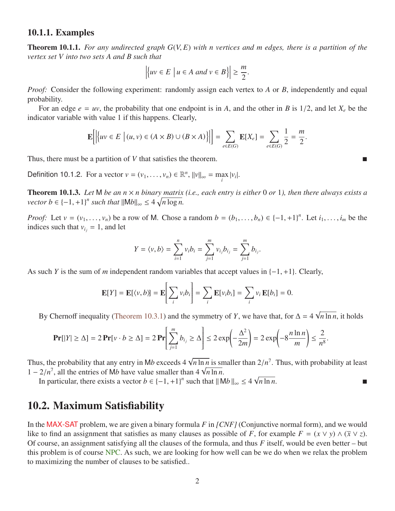#### 10.1.1. Examples

Theorem 10.1.1. *For any undirected graph G*(*V*, *<sup>E</sup>*) *with n vertices and m edges, there is a partition of the vertex set V into two sets A and B such that*

$$
\left| \{ uv \in E \mid u \in A \text{ and } v \in B \} \right| \ge \frac{m}{2}.
$$

*Proof:* Consider the following experiment: randomly assign each vertex to *A* or *B*, independently and equal probability.

For an edge  $e = uv$ , the probability that one endpoint is in *A*, and the other in *B* is 1/2, and let  $X_e$  be the indicator variable with value 1 if this happens. Clearly,

$$
\mathbf{E}\Big[\Big|\Big\{uv \in E \; \Big|\: (u,v) \in (A \times B) \cup (B \times A)\Big\}\Big|\Big] = \sum_{e \in E(G)} \mathbf{E}[X_e] = \sum_{e \in E(G)} \frac{1}{2} = \frac{m}{2}.
$$

Thus, there must be a partition of *V* that satisfies the theorem.

Definition 10.1.2. For a vector  $v = (v_1, \dots, v_n) \in \mathbb{R}^n$ ,  $||v||_{\infty} = \max_i |v_i|$ .

**Theorem 10.1.3.** Let M be an  $n \times n$  binary matrix (i.e., each entry is either 0 or 1), then there always exists a *vector*  $b \in \{-1, +1\}^n$  *such that*  $||Mb||_{\infty} \leq 4 \sqrt{n \log n}$ .

*Proof:* Let  $v = (v_1, \ldots, v_n)$  be a row of M. Chose a random  $b = (b_1, \ldots, b_n) \in \{-1, +1\}^n$ . Let  $i_1, \ldots, i_m$  be the indices such that  $v_i = 1$  and let indices such that  $v_i = 1$ , and let

$$
Y = \langle v, b \rangle = \sum_{i=1}^{n} v_i b_i = \sum_{j=1}^{m} v_{i_j} b_{i_j} = \sum_{j=1}^{m} b_{i_j}.
$$

As such *<sup>Y</sup>* is the sum of *<sup>m</sup>* independent random variables that accept values in {−1, <sup>+</sup>1}. Clearly,

$$
\mathbf{E}[Y] = \mathbf{E}[\langle v, b \rangle] = \mathbf{E}\bigg[\sum_i v_i b_i\bigg] = \sum_i \mathbf{E}[v_i b_i] = \sum_i v_i \mathbf{E}[b_i] = 0.
$$

By Chernoff inequality [\(Theorem 10.3.1\)](#page-4-1) and the symmetry of *Y*, we have that, for  $\Delta = 4$ √ *n* ln *n*, it holds

$$
\Pr[|Y| \ge \Delta] = 2 \Pr[v \cdot b \ge \Delta] = 2 \Pr\left[\sum_{j=1}^{m} b_{i_j} \ge \Delta\right] \le 2 \exp\left(-\frac{\Delta^2}{2m}\right) = 2 \exp\left(-8\frac{n \ln n}{m}\right) \le \frac{2}{n^8}.
$$

Thus, the probability that any entry in M*b* exceeds 4  $\sqrt$  $\frac{n \ln n}{n}$  is smaller than  $2/n^7$ . Thus, with probability at least Thus, the probability that any entry in Mb exceeds 4  $\sqrt{n}$  in *n* is sn<br>1 – 2/*n*<sup>7</sup>, all the entries of Mb have value smaller than 4  $\sqrt{n}$  ln *n*.<br>In particular, there exists a yector  $h \in \{-1, +1\}^n$  such that  $\| \mathbf{h$  $\sqrt{n \ln n}$ .

In particular, there exists a vector  $b \in \{-1, +1\}^n$  such that  $||Mb||_{\infty} \le 4$ 

### 10.2. Maximum Satisfiability

<span id="page-1-0"></span>In the MAX-SAT problem, we are given a binary formula *F* in *[CNF]* (Conjunctive normal form), and we would like to find an assignment that satisfies as many clauses as possible of *F*, for example  $F = (x \lor y) \land (\bar{x} \lor z)$ . Of course, an assignment satisfying all the clauses of the formula, and thus *F* itself, would be even better – but this problem is of course NPC. As such, we are looking for how well can be we do when we relax the problem to maximizing the number of clauses to be satisfied..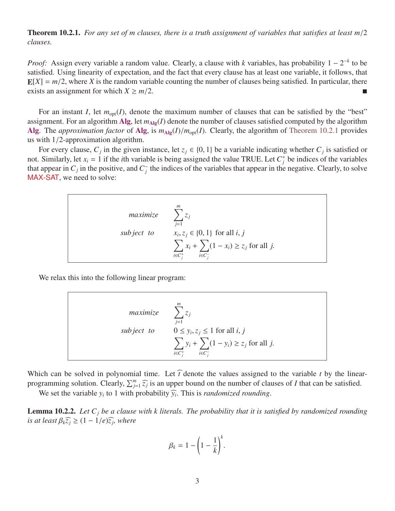Theorem 10.2.1. *For any set of m clauses, there is a truth assignment of variables that satisfies at least m*/<sup>2</sup> *clauses.*

*Proof*: Assign every variable a random value. Clearly, a clause with *k* variables, has probability  $1 - 2^{-k}$  to be satisfied. Using linearity of expectation, and the fact that every clause has at least one variable, it follows, that  $E[X] = m/2$ , where *X* is the random variable counting the number of clauses being satisfied. In particular, there exists an assignment for which  $X \ge m/2$ .

For an instant *I*, let  $m_{opt}(I)$ , denote the maximum number of clauses that can be satisfied by the "best" assignment. For an algorithm Alg, let  $m_{\text{Alg}}(I)$  denote the number of clauses satisfied computed by the algorithm Alg. The *approximation factor* of Alg, is  $m_{\text{Alg}}(I)/m_{\text{opt}}(I)$ . Clearly, the algorithm of [Theorem 10.2.1](#page-1-0) provides us with 1/2-approximation algorithm.

For every clause,  $C_j$  in the given instance, let  $z_j \in \{0, 1\}$  be a variable indicating whether  $C_j$  is satisfied or<br>Similarly let  $x_i = 1$  if the *i*th variable is being assigned the value TRUE Let  $C^+$  be indices of t not. Similarly, let  $x_i = 1$  if the *i*th variable is being assigned the value TRUE. Let  $C_j^+$  be indices of the variables that appear in  $C_j$  in the positive, and  $C_j^$ *j* the indices of the variables that appear in the negative. Clearly, to solve MAX-SAT, we need to solve:



We relax this into the following linear program:

maximize 
$$
\sum_{j=1}^{m} z_j
$$
  
\nsubject to 
$$
0 \le y_i, z_j \le 1 \text{ for all } i, j
$$

$$
\sum_{i \in C_j^+} y_i + \sum_{i \in C_j^-} (1 - y_i) \ge z_j \text{ for all } j.
$$

Which can be solved in polynomial time. Let  $\hat{t}$  denote the values assigned to the variable *t* by the linearprogramming solution. Clearly,  $\sum_{j=1}^{m} \widehat{z_j}$  is an upper bound on the number of clauses of *I* that can be satisfied.

We set the variable  $y_i$  to 1 with probability  $\hat{y_i}$ . This is *randomized rounding*.

<span id="page-2-0"></span>Lemma 10.2.2. *Let C<sup>j</sup> be a clause with k literals. The probability that it is satisfied by randomized rounding is at least*  $\beta_k \widehat{z}_j \geq (1 - 1/e)\widehat{z}_j$ , where

$$
\beta_k = 1 - \left(1 - \frac{1}{k}\right)^k.
$$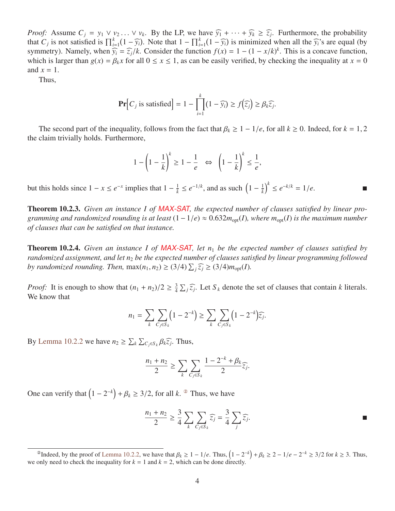*Proof:* Assume  $C_j = y_1 \vee y_2 \ldots \vee y_k$ . By the LP, we have  $\widehat{y_1} + \cdots + \widehat{y_k} \geq \widehat{z_j}$ . Furthermore, the probability that  $C_j$  is not satisfied is  $\prod^k (1 - \widehat{y_j})$ . Note that  $1 - \prod^k (1 - \widehat{y_j})$  is minimized when all that  $C_j$  is not satisfied is  $\prod_{i=1}^k (1 - \widehat{y}_i)$ . Note that  $1 - \prod_{i=1}^k (1 - \widehat{y}_i)$  is minimized when all the  $\widehat{y}_i$ 's are equal (by symmetry). Namely, when  $\widehat{y}_i = \widehat{z}/k$ . Consider the function  $f(x) = 1$ ,  $(1 - x$ symmetry). Namely, when  $\hat{y}_i = \hat{z}_j/k$ . Consider the function  $f(x) = 1 - (1 - x/k)^k$ . This is a concave function, which is larger than  $g(x) = B(x)$  for all  $0 \le x \le 1$  as can be easily verified, by checking the inequality at  $x =$ which is larger than  $g(x) = \beta_k x$  for all  $0 \le x \le 1$ , as can be easily verified, by checking the inequality at  $x = 0$ and  $x = 1$ .

Thus,

$$
\mathbf{Pr}\Big[C_j \text{ is satisfied}\Big] = 1 - \prod_{i=1}^k (1 - \widehat{y_i}) \ge f\big(\widehat{z_j}\big) \ge \beta_k \widehat{z_j}
$$

The second part of the inequality, follows from the fact that  $\beta_k \geq 1 - 1/e$ , for all  $k \geq 0$ . Indeed, for  $k = 1, 2$ the claim trivially holds. Furthermore,

$$
1 - \left(1 - \frac{1}{k}\right)^k \ge 1 - \frac{1}{e} \quad \Leftrightarrow \quad \left(1 - \frac{1}{k}\right)^k \le \frac{1}{e},
$$

but this holds since  $1 - x \le e^{-x}$  implies that  $1 - \frac{1}{k}$  $\frac{1}{k} \leq e^{-1/k}$ , and as such  $\left(1 - \frac{1}{k}\right)$  $\left(\frac{1}{k}\right)^k$  ≤  $e^{-k/k} = 1/e$ . ■

Theorem 10.2.3. *Given an instance I of* MAX-SAT*, the expected number of clauses satisfied by linear programming and randomized rounding is at least* (1−1/*e*) <sup>≈</sup> <sup>0</sup>.632*m*opt(*I*)*, where m*opt(*I*) *is the maximum number of clauses that can be satisfied on that instance.*

Theorem 10.2.4. *Given an instance I of* MAX-SAT*, let n*<sup>1</sup> *be the expected number of clauses satisfied by randomized assignment, and let n*<sup>2</sup> *be the expected number of clauses satisfied by linear programming followed by randomized rounding. Then,*  $max(n_1, n_2) \geq (3/4) \sum_j \widehat{z_j} \geq (3/4) m_{opt}(I)$ *.* 

*Proof:* It is enough to show that  $(n_1 + n_2)/2 \geq \frac{3}{4}$ <br>We know that  $\frac{3}{4} \sum_j \widehat{z}_j$ . Let  $S_k$  denote the set of clauses that contain *k* literals. We know that

$$
n_1 = \sum_{k} \sum_{C_j \in S_k} (1 - 2^{-k}) \ge \sum_{k} \sum_{C_j \in S_k} (1 - 2^{-k}) \widehat{z_j}.
$$

By [Lemma 10.2.2](#page-2-0) we have  $n_2 \ge \sum_k \sum_{C_j \in S_k} \beta_k \widehat{z}_j$ . Thus,

$$
\frac{n_1+n_2}{2} \ge \sum_k \sum_{C_j \in S_k} \frac{1-2^{-k}+\beta_k}{2} \widehat{z_j}.
$$

One can verify that  $(1 - 2^{-k}) + \beta_k \ge 3/2$ , for all *k*. <sup>29</sup> Thus, we have

$$
\frac{n_1 + n_2}{2} \ge \frac{3}{4} \sum_{k} \sum_{C_j \in S_k} \widehat{z_j} = \frac{3}{4} \sum_{j} \widehat{z_j}.
$$

<span id="page-3-0"></span><sup>&</sup>lt;sup>*©*</sup>Indeed, by the proof of [Lemma 10.2.2,](#page-2-0) we have that  $\beta_k \ge 1 - 1/e$ . Thus,  $\left(1 - 2^{-k}\right) + \beta_k \ge 2 - 1/e - 2^{-k} \ge 3/2$  for  $k \ge 3$ . Thus, only need to check the inequality for  $k - 1$  and  $k - 2$ , which can be done directly we only need to check the inequality for  $k = 1$  and  $k = 2$ , which can be done directly.